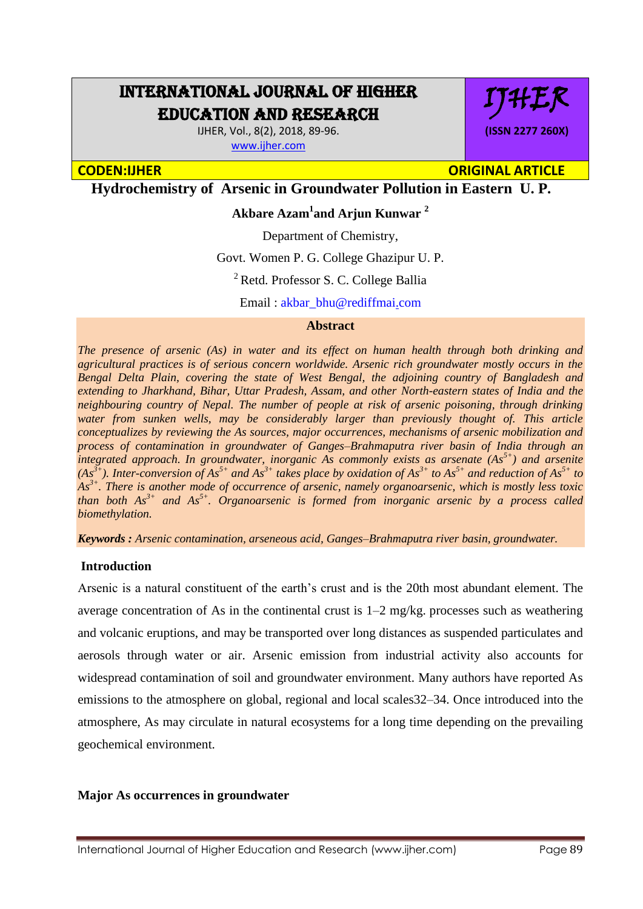# INTERNATIONAL JOURNAL OF HIGHER EDUCATION AND RESEARCH

IJHER, Vol., 8(2), 2018, 89-96. [www.ijher.com](http://www.ijher.com/)

**(ISSN 2277 260X)**

IJHER

# **CODEN:IJHER ORIGINAL ARTICLE**

**Hydrochemistry of Arsenic in Groundwater Pollution in Eastern U. P.**

# **Akbare Azam<sup>1</sup> and Arjun Kunwar <sup>2</sup>**

Department of Chemistry,

Govt. Women P. G. College Ghazipur U. P.

<sup>2</sup> Retd. Professor S. C. College Ballia

Email : [akbar\\_bhu@rediffmai.com](mailto:akbar_bhu@rediffmail.com)

# **Abstract**

*The presence of arsenic (As) in water and its effect on human health through both drinking and agricultural practices is of serious concern worldwide. Arsenic rich groundwater mostly occurs in the Bengal Delta Plain, covering the state of West Bengal, the adjoining country of Bangladesh and extending to Jharkhand, Bihar, Uttar Pradesh, Assam, and other North-eastern states of India and the neighbouring country of Nepal. The number of people at risk of arsenic poisoning, through drinking water from sunken wells, may be considerably larger than previously thought of. This article conceptualizes by reviewing the As sources, major occurrences, mechanisms of arsenic mobilization and process of contamination in groundwater of Ganges–Brahmaputra river basin of India through an integrated approach. In groundwater, inorganic As commonly exists as arsenate (As5+) and arsenite*   $(As^{3+})$ . Inter-conversion of  $As^{5+}$  and  $As^{3+}$  takes place by oxidation of  $As^{3+}$  to  $As^{5+}$  and reduction of  $As^{5+}$  to *As3+. There is another mode of occurrence of arsenic, namely organoarsenic, which is mostly less toxic than both As3+ and As5+. Organoarsenic is formed from inorganic arsenic by a process called biomethylation.*

*Keywords : Arsenic contamination, arseneous acid, Ganges–Brahmaputra river basin, groundwater.*

#### **Introduction**

Arsenic is a natural constituent of the earth's crust and is the 20th most abundant element. The average concentration of As in the continental crust is  $1-2$  mg/kg, processes such as weathering and volcanic eruptions, and may be transported over long distances as suspended particulates and aerosols through water or air. Arsenic emission from industrial activity also accounts for widespread contamination of soil and groundwater environment. Many authors have reported As emissions to the atmosphere on global, regional and local scales32–34. Once introduced into the atmosphere, As may circulate in natural ecosystems for a long time depending on the prevailing geochemical environment.

# **Major As occurrences in groundwater**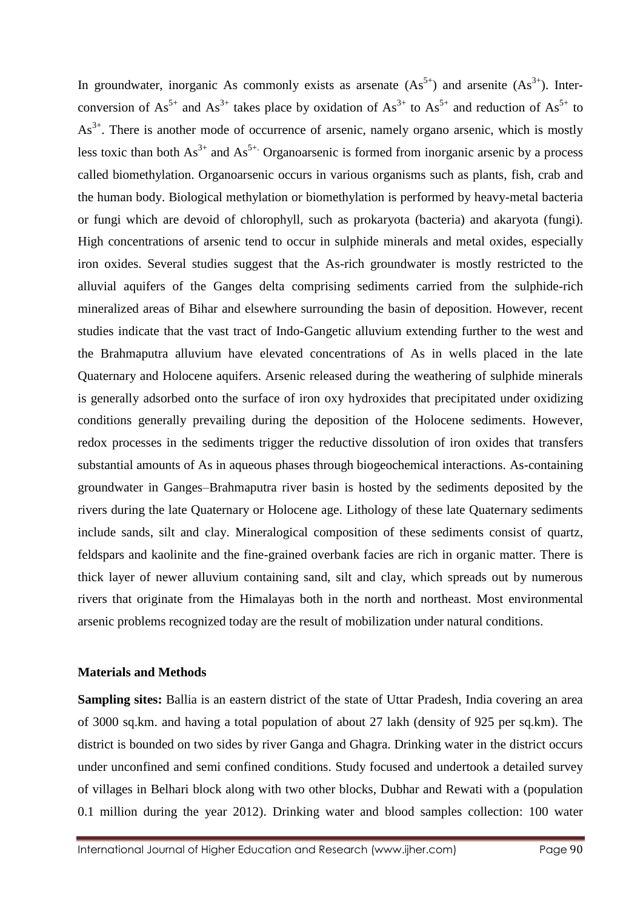In groundwater, inorganic As commonly exists as arsenate  $(As<sup>5+</sup>)$  and arsenite  $(As<sup>3+</sup>)$ . Interconversion of  $As^{5+}$  and  $As^{3+}$  takes place by oxidation of  $As^{3+}$  to  $As^{5+}$  and reduction of  $As^{5+}$  to  $As<sup>3+</sup>$ . There is another mode of occurrence of arsenic, namely organo arsenic, which is mostly less toxic than both  $As^{3+}$  and  $As^{5+}$  Organoarsenic is formed from inorganic arsenic by a process called biomethylation. Organoarsenic occurs in various organisms such as plants, fish, crab and the human body. Biological methylation or biomethylation is performed by heavy-metal bacteria or fungi which are devoid of chlorophyll, such as prokaryota (bacteria) and akaryota (fungi). High concentrations of arsenic tend to occur in sulphide minerals and metal oxides, especially iron oxides. Several studies suggest that the As-rich groundwater is mostly restricted to the alluvial aquifers of the Ganges delta comprising sediments carried from the sulphide-rich mineralized areas of Bihar and elsewhere surrounding the basin of deposition. However, recent studies indicate that the vast tract of Indo-Gangetic alluvium extending further to the west and the Brahmaputra alluvium have elevated concentrations of As in wells placed in the late Quaternary and Holocene aquifers. Arsenic released during the weathering of sulphide minerals is generally adsorbed onto the surface of iron oxy hydroxides that precipitated under oxidizing conditions generally prevailing during the deposition of the Holocene sediments. However, redox processes in the sediments trigger the reductive dissolution of iron oxides that transfers substantial amounts of As in aqueous phases through biogeochemical interactions. As-containing groundwater in Ganges–Brahmaputra river basin is hosted by the sediments deposited by the rivers during the late Quaternary or Holocene age. Lithology of these late Quaternary sediments include sands, silt and clay. Mineralogical composition of these sediments consist of quartz, feldspars and kaolinite and the fine-grained overbank facies are rich in organic matter. There is thick layer of newer alluvium containing sand, silt and clay, which spreads out by numerous rivers that originate from the Himalayas both in the north and northeast. Most environmental arsenic problems recognized today are the result of mobilization under natural conditions.

# **Materials and Methods**

**Sampling sites:** Ballia is an eastern district of the state of Uttar Pradesh, India covering an area of 3000 sq.km. and having a total population of about 27 lakh (density of 925 per sq.km). The district is bounded on two sides by river Ganga and Ghagra. Drinking water in the district occurs under unconfined and semi confined conditions. Study focused and undertook a detailed survey of villages in Belhari block along with two other blocks, Dubhar and Rewati with a (population 0.1 million during the year 2012). Drinking water and blood samples collection: 100 water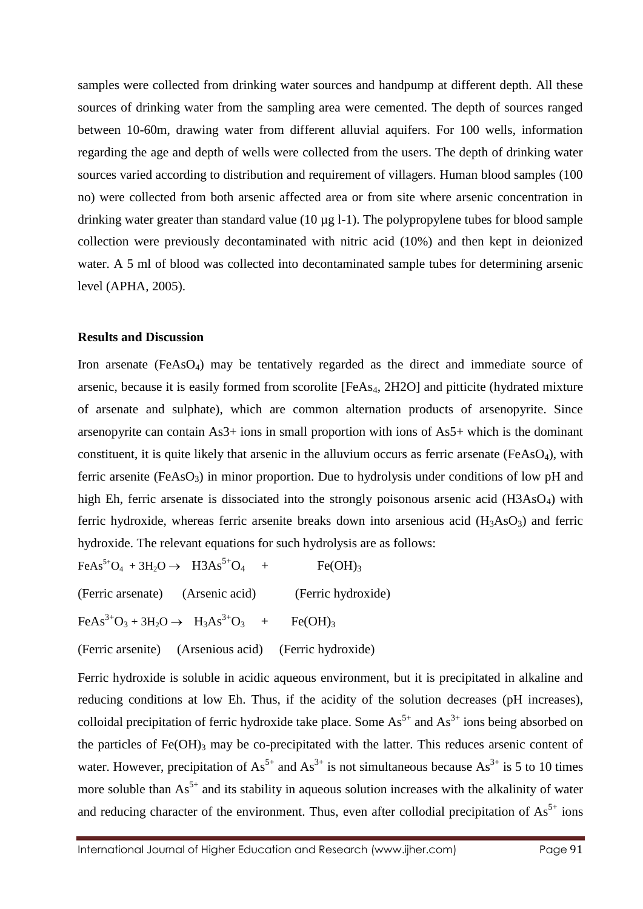samples were collected from drinking water sources and handpump at different depth. All these sources of drinking water from the sampling area were cemented. The depth of sources ranged between 10-60m, drawing water from different alluvial aquifers. For 100 wells, information regarding the age and depth of wells were collected from the users. The depth of drinking water sources varied according to distribution and requirement of villagers. Human blood samples (100 no) were collected from both arsenic affected area or from site where arsenic concentration in drinking water greater than standard value (10 µg l-1). The polypropylene tubes for blood sample collection were previously decontaminated with nitric acid (10%) and then kept in deionized water. A 5 ml of blood was collected into decontaminated sample tubes for determining arsenic level (APHA, 2005).

### **Results and Discussion**

Iron arsenate (FeAsO<sub>4</sub>) may be tentatively regarded as the direct and immediate source of arsenic, because it is easily formed from scorolite [FeAs4, 2H2O] and pitticite (hydrated mixture of arsenate and sulphate), which are common alternation products of arsenopyrite. Since arsenopyrite can contain As3+ ions in small proportion with ions of As5+ which is the dominant constituent, it is quite likely that arsenic in the alluvium occurs as ferric arsenate ( $FeAsO<sub>4</sub>$ ), with ferric arsenite ( $FeAsO<sub>3</sub>$ ) in minor proportion. Due to hydrolysis under conditions of low pH and high Eh, ferric arsenate is dissociated into the strongly poisonous arsenic acid (H3AsO<sub>4</sub>) with ferric hydroxide, whereas ferric arsenite breaks down into arsenious acid  $(H_3AsO_3)$  and ferric hydroxide. The relevant equations for such hydrolysis are as follows:

 $FeAs^{5+}O_4 + 3H_2O \rightarrow H3As^{5+}O_4 + \text{Fe(OH)}_3$ 

(Ferric arsenate) (Arsenic acid) (Ferric hydroxide)

 $FeAs^{3+}O_3 + 3H_2O \rightarrow H_3As^{3+}O_3 + Fe(OH)_3$ 

(Ferric arsenite) (Arsenious acid) (Ferric hydroxide)

Ferric hydroxide is soluble in acidic aqueous environment, but it is precipitated in alkaline and reducing conditions at low Eh. Thus, if the acidity of the solution decreases (pH increases), colloidal precipitation of ferric hydroxide take place. Some  $As<sup>5+</sup>$  and  $As<sup>3+</sup>$  ions being absorbed on the particles of Fe(OH)<sub>3</sub> may be co-precipitated with the latter. This reduces arsenic content of water. However, precipitation of  $As^{5+}$  and  $As^{3+}$  is not simultaneous because  $As^{3+}$  is 5 to 10 times more soluble than  $As^{5+}$  and its stability in aqueous solution increases with the alkalinity of water and reducing character of the environment. Thus, even after collodial precipitation of  $As<sup>5+</sup>$  ions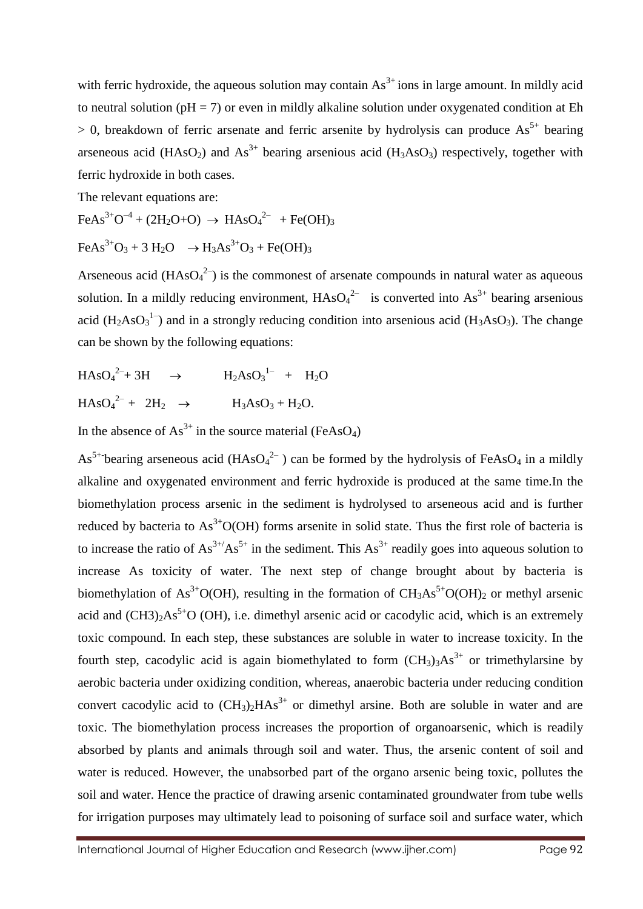with ferric hydroxide, the aqueous solution may contain  $\text{As}^{3+}$  ions in large amount. In mildly acid to neutral solution ( $pH = 7$ ) or even in mildly alkaline solution under oxygenated condition at Eh  $> 0$ , breakdown of ferric arsenate and ferric arsenite by hydrolysis can produce As<sup>5+</sup> bearing arseneous acid (HAsO<sub>2</sub>) and As<sup>3+</sup> bearing arsenious acid (H<sub>3</sub>AsO<sub>3</sub>) respectively, together with ferric hydroxide in both cases.

The relevant equations are:

 $FeAs^{3+}O^{-4} + (2H_2O+O) \rightarrow HAsO_4^{2-} + Fe(OH)_3$ 

$$
\text{FeAs}^{3+}\text{O}_3 + 3 \text{ H}_2\text{O} \rightarrow \text{H}_3\text{As}^{3+}\text{O}_3 + \text{Fe(OH)}_3
$$

Arseneous acid  $(HAsO<sub>4</sub><sup>2</sup>)$  is the commonest of arsenate compounds in natural water as aqueous solution. In a mildly reducing environment,  $HAsO<sub>4</sub><sup>2-</sup>$  is converted into  $As<sup>3+</sup>$  bearing arsenious acid  $(H_2AsO_3^1)$  and in a strongly reducing condition into arsenious acid ( $H_3AsO_3$ ). The change can be shown by the following equations:

$$
HASO42-+3H \rightarrow H2AsO31- + H2O
$$
  

$$
HASO42- + 2H2 \rightarrow H3AsO3 + H2O.
$$

In the absence of  $As^{3+}$  in the source material (FeAsO<sub>4</sub>)

As<sup>5+-</sup>bearing arseneous acid (HAsO<sub>4</sub><sup>2-</sup>) can be formed by the hydrolysis of FeAsO<sub>4</sub> in a mildly alkaline and oxygenated environment and ferric hydroxide is produced at the same time.In the biomethylation process arsenic in the sediment is hydrolysed to arseneous acid and is further reduced by bacteria to  $As^{3+}O(OH)$  forms arsenite in solid state. Thus the first role of bacteria is to increase the ratio of  $As^{3+}/As^{5+}$  in the sediment. This  $As^{3+}$  readily goes into aqueous solution to increase As toxicity of water. The next step of change brought about by bacteria is biomethylation of As<sup>3+</sup>O(OH), resulting in the formation of  $CH_3As^{5+}O(OH)_2$  or methyl arsenic acid and  $(CH3)_2As<sup>5+</sup>O$  (OH), i.e. dimethyl arsenic acid or cacodylic acid, which is an extremely toxic compound. In each step, these substances are soluble in water to increase toxicity. In the fourth step, cacodylic acid is again biomethylated to form  $(CH_3)_3As^{3+}$  or trimethylarsine by aerobic bacteria under oxidizing condition, whereas, anaerobic bacteria under reducing condition convert cacodylic acid to  $(CH_3)_2HAs^{3+}$  or dimethyl arsine. Both are soluble in water and are toxic. The biomethylation process increases the proportion of organoarsenic, which is readily absorbed by plants and animals through soil and water. Thus, the arsenic content of soil and water is reduced. However, the unabsorbed part of the organo arsenic being toxic, pollutes the soil and water. Hence the practice of drawing arsenic contaminated groundwater from tube wells for irrigation purposes may ultimately lead to poisoning of surface soil and surface water, which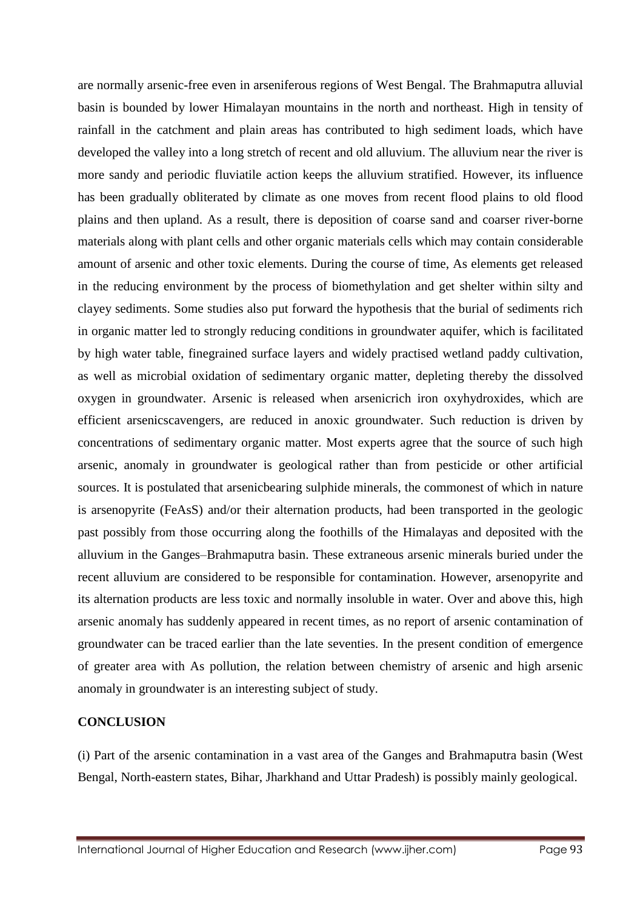are normally arsenic-free even in arseniferous regions of West Bengal. The Brahmaputra alluvial basin is bounded by lower Himalayan mountains in the north and northeast. High in tensity of rainfall in the catchment and plain areas has contributed to high sediment loads, which have developed the valley into a long stretch of recent and old alluvium. The alluvium near the river is more sandy and periodic fluviatile action keeps the alluvium stratified. However, its influence has been gradually obliterated by climate as one moves from recent flood plains to old flood plains and then upland. As a result, there is deposition of coarse sand and coarser river-borne materials along with plant cells and other organic materials cells which may contain considerable amount of arsenic and other toxic elements. During the course of time, As elements get released in the reducing environment by the process of biomethylation and get shelter within silty and clayey sediments. Some studies also put forward the hypothesis that the burial of sediments rich in organic matter led to strongly reducing conditions in groundwater aquifer, which is facilitated by high water table, finegrained surface layers and widely practised wetland paddy cultivation, as well as microbial oxidation of sedimentary organic matter, depleting thereby the dissolved oxygen in groundwater. Arsenic is released when arsenicrich iron oxyhydroxides, which are efficient arsenicscavengers, are reduced in anoxic groundwater. Such reduction is driven by concentrations of sedimentary organic matter. Most experts agree that the source of such high arsenic, anomaly in groundwater is geological rather than from pesticide or other artificial sources. It is postulated that arsenicbearing sulphide minerals, the commonest of which in nature is arsenopyrite (FeAsS) and/or their alternation products, had been transported in the geologic past possibly from those occurring along the foothills of the Himalayas and deposited with the alluvium in the Ganges–Brahmaputra basin. These extraneous arsenic minerals buried under the recent alluvium are considered to be responsible for contamination. However, arsenopyrite and its alternation products are less toxic and normally insoluble in water. Over and above this, high arsenic anomaly has suddenly appeared in recent times, as no report of arsenic contamination of groundwater can be traced earlier than the late seventies. In the present condition of emergence of greater area with As pollution, the relation between chemistry of arsenic and high arsenic anomaly in groundwater is an interesting subject of study.

# **CONCLUSION**

(i) Part of the arsenic contamination in a vast area of the Ganges and Brahmaputra basin (West Bengal, North-eastern states, Bihar, Jharkhand and Uttar Pradesh) is possibly mainly geological.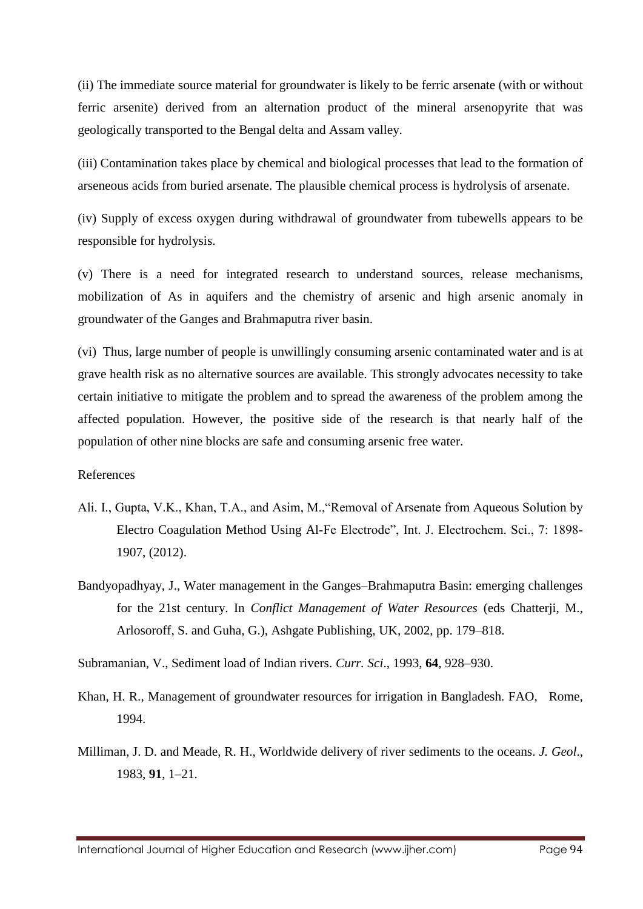(ii) The immediate source material for groundwater is likely to be ferric arsenate (with or without ferric arsenite) derived from an alternation product of the mineral arsenopyrite that was geologically transported to the Bengal delta and Assam valley.

(iii) Contamination takes place by chemical and biological processes that lead to the formation of arseneous acids from buried arsenate. The plausible chemical process is hydrolysis of arsenate.

(iv) Supply of excess oxygen during withdrawal of groundwater from tubewells appears to be responsible for hydrolysis.

(v) There is a need for integrated research to understand sources, release mechanisms, mobilization of As in aquifers and the chemistry of arsenic and high arsenic anomaly in groundwater of the Ganges and Brahmaputra river basin.

(vi) Thus, large number of people is unwillingly consuming arsenic contaminated water and is at grave health risk as no alternative sources are available. This strongly advocates necessity to take certain initiative to mitigate the problem and to spread the awareness of the problem among the affected population. However, the positive side of the research is that nearly half of the population of other nine blocks are safe and consuming arsenic free water.

References

- Ali. I., Gupta, V.K., Khan, T.A., and Asim, M.,"Removal of Arsenate from Aqueous Solution by Electro Coagulation Method Using Al-Fe Electrode", Int. J. Electrochem. Sci., 7: 1898- 1907, (2012).
- Bandyopadhyay, J., Water management in the Ganges–Brahmaputra Basin: emerging challenges for the 21st century. In *Conflict Management of Water Resources* (eds Chatterji, M., Arlosoroff, S. and Guha, G.), Ashgate Publishing, UK, 2002, pp. 179–818.

Subramanian, V., Sediment load of Indian rivers. *Curr. Sci*., 1993, **64**, 928–930.

- Khan, H. R., Management of groundwater resources for irrigation in Bangladesh. FAO, Rome, 1994.
- Milliman, J. D. and Meade, R. H., Worldwide delivery of river sediments to the oceans. *J. Geol*., 1983, **91**, 1–21.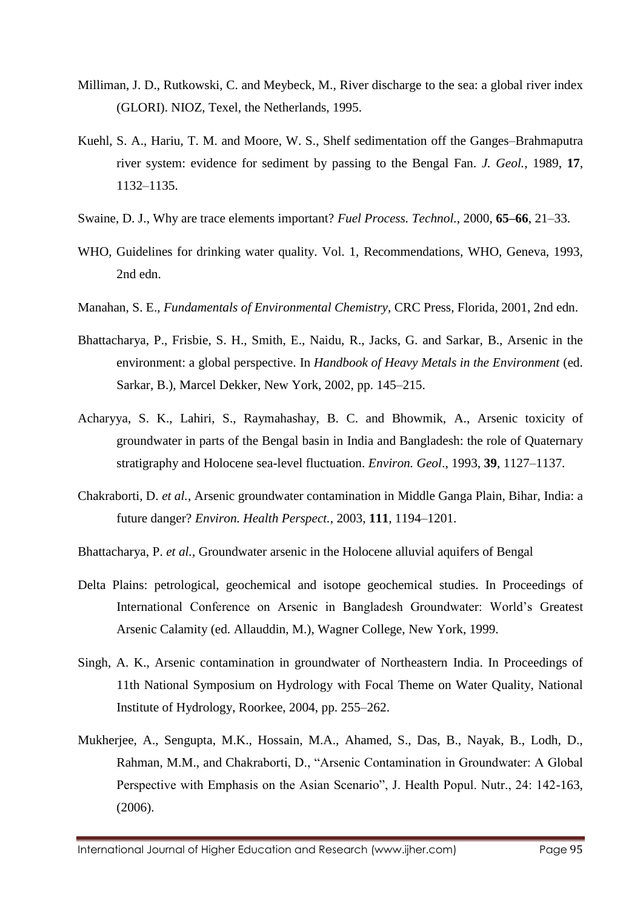- Milliman, J. D., Rutkowski, C. and Meybeck, M., River discharge to the sea: a global river index (GLORI). NIOZ, Texel, the Netherlands, 1995.
- Kuehl, S. A., Hariu, T. M. and Moore, W. S., Shelf sedimentation off the Ganges–Brahmaputra river system: evidence for sediment by passing to the Bengal Fan. *J. Geol.*, 1989, **17**, 1132–1135.
- Swaine, D. J., Why are trace elements important? *Fuel Process. Technol.*, 2000, **65–66**, 21–33.
- WHO, Guidelines for drinking water quality. Vol. 1, Recommendations, WHO, Geneva, 1993, 2nd edn.
- Manahan, S. E., *Fundamentals of Environmental Chemistry*, CRC Press, Florida, 2001, 2nd edn.
- Bhattacharya, P., Frisbie, S. H., Smith, E., Naidu, R., Jacks, G. and Sarkar, B., Arsenic in the environment: a global perspective. In *Handbook of Heavy Metals in the Environment* (ed. Sarkar, B.), Marcel Dekker, New York, 2002, pp. 145–215.
- Acharyya, S. K., Lahiri, S., Raymahashay, B. C. and Bhowmik, A., Arsenic toxicity of groundwater in parts of the Bengal basin in India and Bangladesh: the role of Quaternary stratigraphy and Holocene sea-level fluctuation. *Environ. Geol*., 1993, **39**, 1127–1137.
- Chakraborti, D. *et al.*, Arsenic groundwater contamination in Middle Ganga Plain, Bihar, India: a future danger? *Environ. Health Perspect.*, 2003, **111**, 1194–1201.
- Bhattacharya, P. *et al.*, Groundwater arsenic in the Holocene alluvial aquifers of Bengal
- Delta Plains: petrological, geochemical and isotope geochemical studies. In Proceedings of International Conference on Arsenic in Bangladesh Groundwater: World's Greatest Arsenic Calamity (ed. Allauddin, M.), Wagner College, New York, 1999.
- Singh, A. K., Arsenic contamination in groundwater of Northeastern India. In Proceedings of 11th National Symposium on Hydrology with Focal Theme on Water Quality, National Institute of Hydrology, Roorkee, 2004, pp. 255–262.
- Mukherjee, A., Sengupta, M.K., Hossain, M.A., Ahamed, S., Das, B., Nayak, B., Lodh, D., Rahman, M.M., and Chakraborti, D., "Arsenic Contamination in Groundwater: A Global Perspective with Emphasis on the Asian Scenario", J. Health Popul. Nutr., 24: 142-163, (2006).